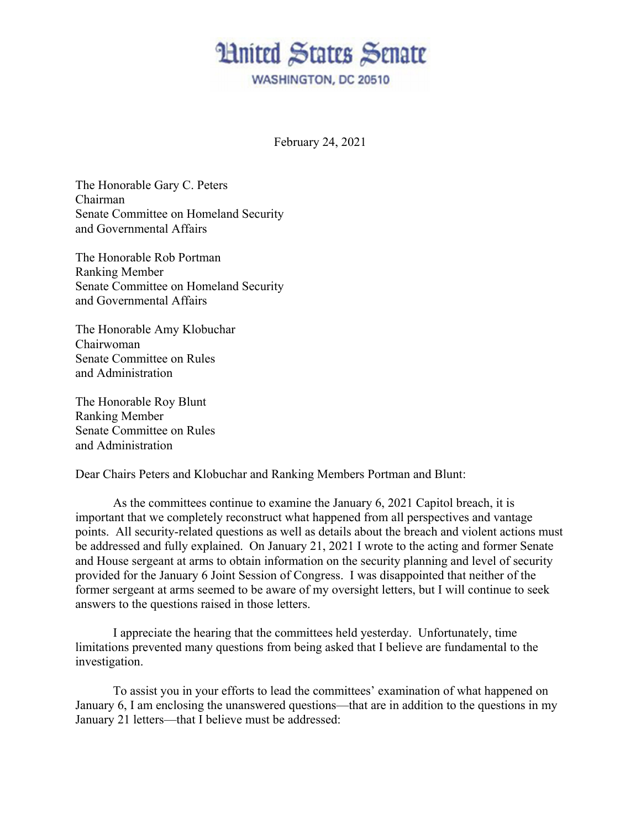## **Hnited States Senate**

WASHINGTON, DC 20510

February 24, 2021

The Honorable Gary C. Peters Chairman Senate Committee on Homeland Security and Governmental Affairs

The Honorable Rob Portman Ranking Member Senate Committee on Homeland Security and Governmental Affairs

The Honorable Amy Klobuchar Chairwoman Senate Committee on Rules and Administration

The Honorable Roy Blunt Ranking Member Senate Committee on Rules and Administration

Dear Chairs Peters and Klobuchar and Ranking Members Portman and Blunt:

 As the committees continue to examine the January 6, 2021 Capitol breach, it is important that we completely reconstruct what happened from all perspectives and vantage points. All security-related questions as well as details about the breach and violent actions must be addressed and fully explained. On January 21, 2021 I wrote to the acting and former Senate and House sergeant at arms to obtain information on the security planning and level of security provided for the January 6 Joint Session of Congress. I was disappointed that neither of the former sergeant at arms seemed to be aware of my oversight letters, but I will continue to seek answers to the questions raised in those letters.

I appreciate the hearing that the committees held yesterday. Unfortunately, time limitations prevented many questions from being asked that I believe are fundamental to the investigation.

To assist you in your efforts to lead the committees' examination of what happened on January 6, I am enclosing the unanswered questions—that are in addition to the questions in my January 21 letters—that I believe must be addressed: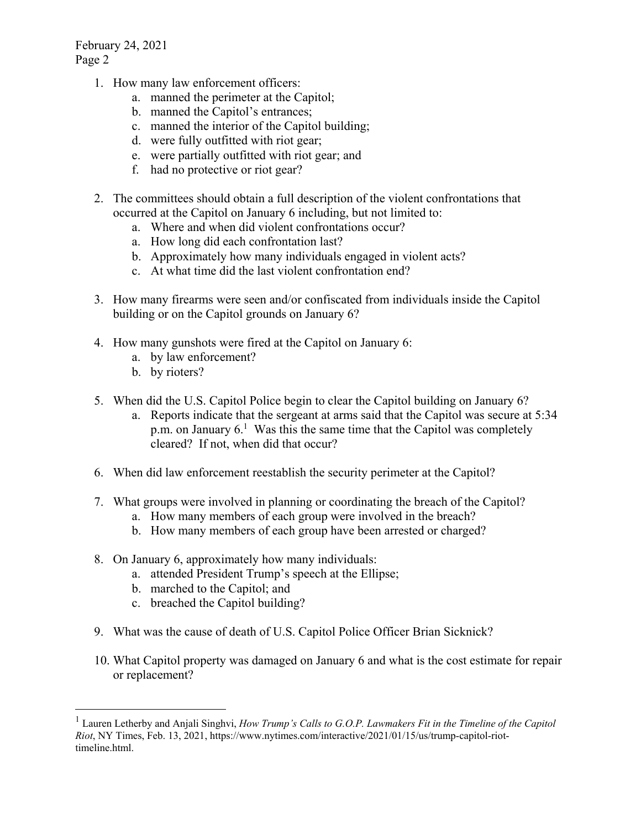February 24, 2021 Page 2

- 1. How many law enforcement officers:
	- a. manned the perimeter at the Capitol;
	- b. manned the Capitol's entrances;
	- c. manned the interior of the Capitol building;
	- d. were fully outfitted with riot gear;
	- e. were partially outfitted with riot gear; and
	- f. had no protective or riot gear?
- 2. The committees should obtain a full description of the violent confrontations that occurred at the Capitol on January 6 including, but not limited to:
	- a. Where and when did violent confrontations occur?
	- a. How long did each confrontation last?
	- b. Approximately how many individuals engaged in violent acts?
	- c. At what time did the last violent confrontation end?
- 3. How many firearms were seen and/or confiscated from individuals inside the Capitol building or on the Capitol grounds on January 6?
- 4. How many gunshots were fired at the Capitol on January 6:
	- a. by law enforcement?
	- b. by rioters?
- 5. When did the U.S. Capitol Police begin to clear the Capitol building on January 6?
	- a. Reports indicate that the sergeant at arms said that the Capitol was secure at 5:34 p.m. on January  $6<sup>1</sup>$  Was this the same time that the Capitol was completely cleared? If not, when did that occur?
- 6. When did law enforcement reestablish the security perimeter at the Capitol?
- 7. What groups were involved in planning or coordinating the breach of the Capitol?
	- a. How many members of each group were involved in the breach?
	- b. How many members of each group have been arrested or charged?
- 8. On January 6, approximately how many individuals:
	- a. attended President Trump's speech at the Ellipse;
	- b. marched to the Capitol; and

 $\overline{a}$ 

- c. breached the Capitol building?
- 9. What was the cause of death of U.S. Capitol Police Officer Brian Sicknick?
- 10. What Capitol property was damaged on January 6 and what is the cost estimate for repair or replacement?

<sup>&</sup>lt;sup>1</sup> Lauren Letherby and Anjali Singhvi, *How Trump's Calls to G.O.P. Lawmakers Fit in the Timeline of the Capitol Riot*, NY Times, Feb. 13, 2021, https://www.nytimes.com/interactive/2021/01/15/us/trump-capitol-riottimeline.html.